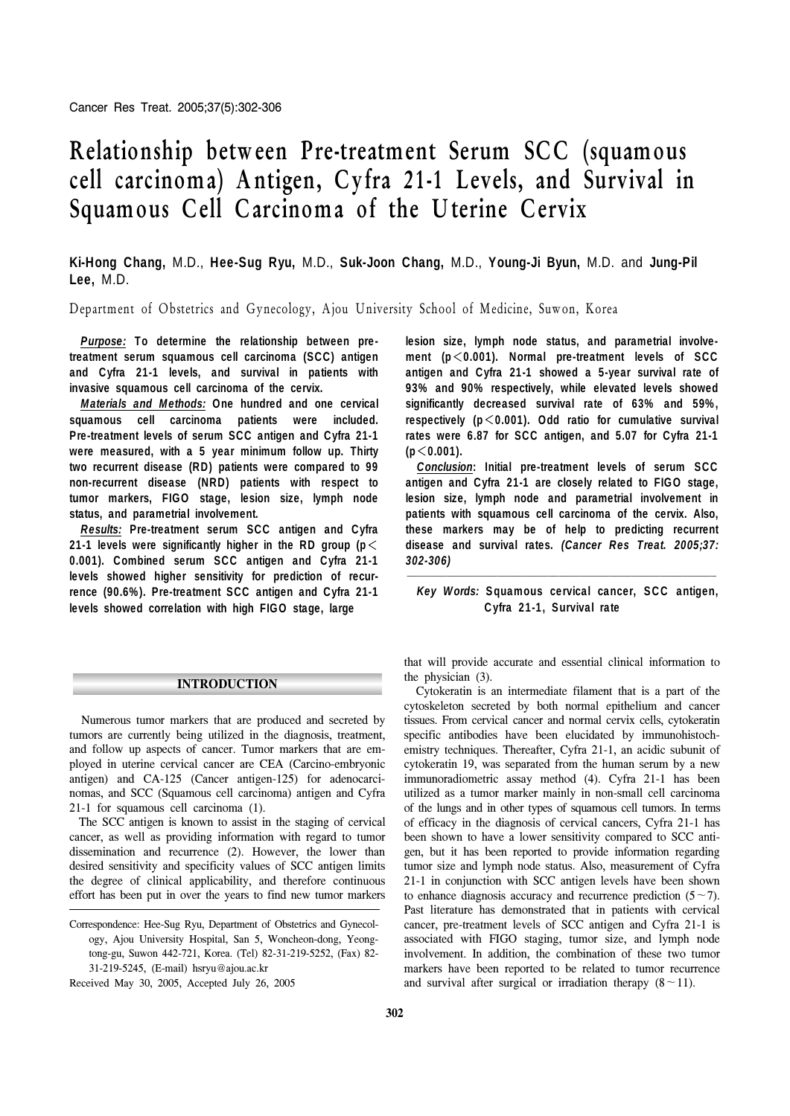# **Relationship between Pre-treatment Serum SCC (squamous cell carcinoma) A ntigen, Cyfra 21-1 Levels, and Survival in Squamous Cell Carcinoma of the U terine Cervix**

# **Ki-Hong Chang,** M.D., **Hee-Sug Ryu,** M.D., **Suk-Joon Chang,** M.D., **Young-Ji Byun,** M.D. and **Jung-Pil Lee,** M.D.

Department of Obstetrics and Gynecology, Ajou University School of Medicine, Suwon, Korea

*Purpose:* **To determine the relationship between pretreatment serum squamous cell carcinoma (SCC) antigen and Cyfra 21-1 levels, and survival in patients with invasive squamous cell carcinoma of the cervix.** 

*Materials and Methods:* **One hundred and one cervical squamous cell carcinoma patients were included. Pre-treatment levels of serum SCC antigen and Cyfra 21-1 were measured, with a 5 year minimum follow up. Thirty two recurrent disease (RD) patients were compared to 99 non-recurrent disease (NRD) patients with respect to tumor markers, FIGO stage, lesion size, lymph node status, and parametrial involvement.** 

*Results:* **Pre-treatment serum SCC antigen and Cyfra 21-1 levels were significantly higher in the RD group (p**< **0.001). Combined serum SCC antigen and Cyfra 21-1 levels showed higher sensitivity for prediction of recurrence (90.6% ). Pre-treatment SCC antigen and Cyfra 21-1 levels showed correlation with high FIGO stage, large** 

#### **INTRODUCTION**

 Numerous tumor markers that are produced and secreted by tumors are currently being utilized in the diagnosis, treatment, and follow up aspects of cancer. Tumor markers that are employed in uterine cervical cancer are CEA (Carcino-embryonic antigen) and CA-125 (Cancer antigen-125) for adenocarcinomas, and SCC (Squamous cell carcinoma) antigen and Cyfra 21-1 for squamous cell carcinoma (1).

 The SCC antigen is known to assist in the staging of cervical cancer, as well as providing information with regard to tumor dissemination and recurrence (2). However, the lower than desired sensitivity and specificity values of SCC antigen limits the degree of clinical applicability, and therefore continuous effort has been put in over the years to find new tumor markers **lesion size, lymph node status, and parametrial involvement (p**<**0.001). Normal pre-treatment levels of SCC antigen and Cyfra 21-1 showed a 5-year survival rate of 93% and 90% respectively, while elevated levels showed significantly decreased survival rate of 63% and 59% , respectively (p**<**0.001). Odd ratio for cumulative survival rates were 6.87 for SCC antigen, and 5.07 for Cyfra 21-1 (p**<**0.001).** 

*Conclusion***: Initial pre-treatment levels of serum SCC antigen and Cyfra 21-1 are closely related to FIGO stage, lesion size, lymph node and parametrial involvement in patients with squamous cell carcinoma of the cervix. Also, these markers may be of help to predicting recurrent disease and survival rates.** *(Cancer Res Treat. 2005;37: 302-306)*

## *Key W ords:* **S quamous cervical cancer, S C C antigen, C yfra 21-1, S urvival rate**

that will provide accurate and essential clinical information to the physician (3).

 Cytokeratin is an intermediate filament that is a part of the cytoskeleton secreted by both normal epithelium and cancer tissues. From cervical cancer and normal cervix cells, cytokeratin specific antibodies have been elucidated by immunohistochemistry techniques. Thereafter, Cyfra 21-1, an acidic subunit of cytokeratin 19, was separated from the human serum by a new immunoradiometric assay method (4). Cyfra 21-1 has been utilized as a tumor marker mainly in non-small cell carcinoma of the lungs and in other types of squamous cell tumors. In terms of efficacy in the diagnosis of cervical cancers, Cyfra 21-1 has been shown to have a lower sensitivity compared to SCC antigen, but it has been reported to provide information regarding tumor size and lymph node status. Also, measurement of Cyfra 21-1 in conjunction with SCC antigen levels have been shown to enhance diagnosis accuracy and recurrence prediction  $(5 \sim 7)$ . Past literature has demonstrated that in patients with cervical cancer, pre-treatment levels of SCC antigen and Cyfra 21-1 is associated with FIGO staging, tumor size, and lymph node involvement. In addition, the combination of these two tumor markers have been reported to be related to tumor recurrence and survival after surgical or irradiation therapy  $(8 \sim 11)$ .

Correspondence: Hee-Sug Ryu, Department of Obstetrics and Gynecology, Ajou University Hospital, San 5, Woncheon-dong, Yeongtong-gu, Suwon 442-721, Korea. (Tel) 82-31-219-5252, (Fax) 82- 31-219-5245, (E-mail) hsryu@ajou.ac.kr

Received May 30, 2005, Accepted July 26, 2005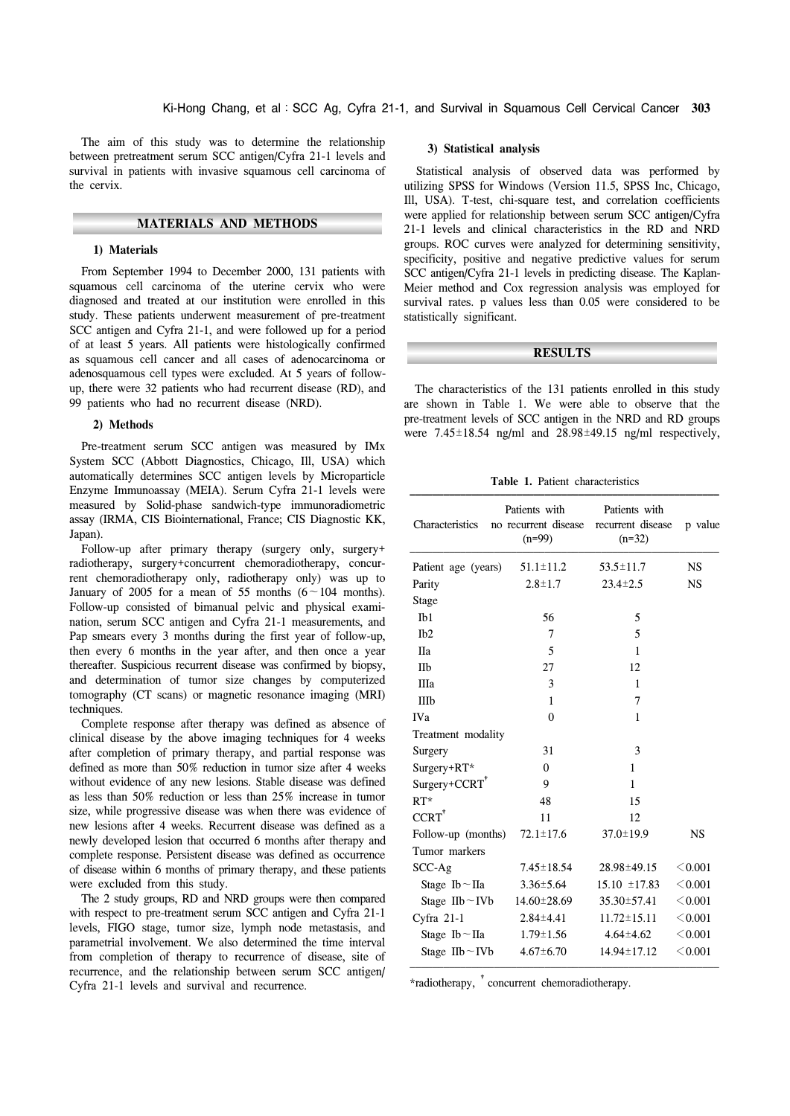The aim of this study was to determine the relationship between pretreatment serum SCC antigen/Cyfra 21-1 levels and survival in patients with invasive squamous cell carcinoma of the cervix.

# **MATERIALS AND METHODS**

#### **1) Materials**

 From September 1994 to December 2000, 131 patients with squamous cell carcinoma of the uterine cervix who were diagnosed and treated at our institution were enrolled in this study. These patients underwent measurement of pre-treatment SCC antigen and Cyfra 21-1, and were followed up for a period of at least 5 years. All patients were histologically confirmed as squamous cell cancer and all cases of adenocarcinoma or adenosquamous cell types were excluded. At 5 years of followup, there were 32 patients who had recurrent disease (RD), and 99 patients who had no recurrent disease (NRD).

#### **2) Methods**

 Pre-treatment serum SCC antigen was measured by IMx System SCC (Abbott Diagnostics, Chicago, Ill, USA) which automatically determines SCC antigen levels by Microparticle Enzyme Immunoassay (MEIA). Serum Cyfra 21-1 levels were measured by Solid-phase sandwich-type immunoradiometric assay (IRMA, CIS Biointernational, France; CIS Diagnostic KK, Japan).

 Follow-up after primary therapy (surgery only, surgery+ radiotherapy, surgery+concurrent chemoradiotherapy, concurrent chemoradiotherapy only, radiotherapy only) was up to January of 2005 for a mean of 55 months  $(6 \sim 104$  months). Follow-up consisted of bimanual pelvic and physical examination, serum SCC antigen and Cyfra 21-1 measurements, and Pap smears every 3 months during the first year of follow-up, then every 6 months in the year after, and then once a year thereafter. Suspicious recurrent disease was confirmed by biopsy, and determination of tumor size changes by computerized tomography (CT scans) or magnetic resonance imaging (MRI) techniques.

 Complete response after therapy was defined as absence of clinical disease by the above imaging techniques for 4 weeks after completion of primary therapy, and partial response was defined as more than 50% reduction in tumor size after 4 weeks without evidence of any new lesions. Stable disease was defined as less than 50% reduction or less than 25% increase in tumor size, while progressive disease was when there was evidence of new lesions after 4 weeks. Recurrent disease was defined as a newly developed lesion that occurred 6 months after therapy and complete response. Persistent disease was defined as occurrence of disease within 6 months of primary therapy, and these patients were excluded from this study.

 The 2 study groups, RD and NRD groups were then compared with respect to pre-treatment serum SCC antigen and Cyfra 21-1 levels, FIGO stage, tumor size, lymph node metastasis, and parametrial involvement. We also determined the time interval from completion of therapy to recurrence of disease, site of recurrence, and the relationship between serum SCC antigen/ Cyfra 21-1 levels and survival and recurrence.

#### **3) Statistical analysis**

 Statistical analysis of observed data was performed by utilizing SPSS for Windows (Version 11.5, SPSS Inc, Chicago, Ill, USA). T-test, chi-square test, and correlation coefficients were applied for relationship between serum SCC antigen/Cyfra 21-1 levels and clinical characteristics in the RD and NRD groups. ROC curves were analyzed for determining sensitivity, specificity, positive and negative predictive values for serum SCC antigen/Cyfra 21-1 levels in predicting disease. The Kaplan-Meier method and Cox regression analysis was employed for survival rates. p values less than 0.05 were considered to be statistically significant.

#### **RESULTS**

 The characteristics of the 131 patients enrolled in this study are shown in Table 1. We were able to observe that the pre-treatment levels of SCC antigen in the NRD and RD groups were  $7.45\pm18.54$  ng/ml and  $28.98\pm49.15$  ng/ml respectively,

**Table 1.** Patient characteristics

| Characteristics         | Patients with<br>no recurrent disease<br>$(n=99)$ | Patients with<br>recurrent disease<br>$(n=32)$ | p value   |
|-------------------------|---------------------------------------------------|------------------------------------------------|-----------|
| Patient age (years)     | $51.1 \pm 11.2$                                   | $53.5 \pm 11.7$                                | <b>NS</b> |
| Parity                  | $2.8 \pm 1.7$                                     | $23.4 \pm 2.5$                                 | <b>NS</b> |
| Stage                   |                                                   |                                                |           |
| I <sub>b1</sub>         | 56                                                | 5                                              |           |
| I <sub>b2</sub>         | 7                                                 | 5                                              |           |
| <b>IIa</b>              | 5                                                 | 1                                              |           |
| IIb                     | 27                                                | 12                                             |           |
| IIIa                    | 3                                                 | 1                                              |           |
| IIIb                    | 1                                                 | 7                                              |           |
| <b>IVa</b>              | $\theta$                                          | 1                                              |           |
| Treatment modality      |                                                   |                                                |           |
| Surgery                 | 31                                                | 3                                              |           |
| Surgery+RT*             | $\theta$                                          | 1                                              |           |
| $Surgery+CCRT†$         | 9                                                 | 1                                              |           |
| $RT^*$                  | 48                                                | 15                                             |           |
| CCRT <sup>+</sup>       | 11                                                | 12                                             |           |
| Follow-up (months)      | $72.1 \pm 17.6$                                   | $37.0 \pm 19.9$                                | <b>NS</b> |
| Tumor markers           |                                                   |                                                |           |
| $SCC-Ag$                | $7.45 \pm 18.54$                                  | 28.98±49.15                                    | < 0.001   |
| Stage Ib $\sim$ IIa     | $3.36 \pm 5.64$                                   | $15.10 \pm 17.83$                              | < 0.001   |
| Stage II $b \sim I V b$ | 14.60±28.69                                       | 35.30±57.41                                    | < 0.001   |
| Cyfra $21-1$            | $2.84 \pm 4.41$                                   | $11.72 \pm 15.11$                              | < 0.001   |
| Stage Ib $\sim$ IIa     | $1.79 \pm 1.56$                                   | $4.64 \pm 4.62$                                | < 0.001   |
| Stage IIb $\neg$ IVb    | $4.67 \pm 6.70$                                   | 14.94±17.12                                    | < 0.001   |

\*radiotherapy, <sup>†</sup> concurrent chemoradiotherapy.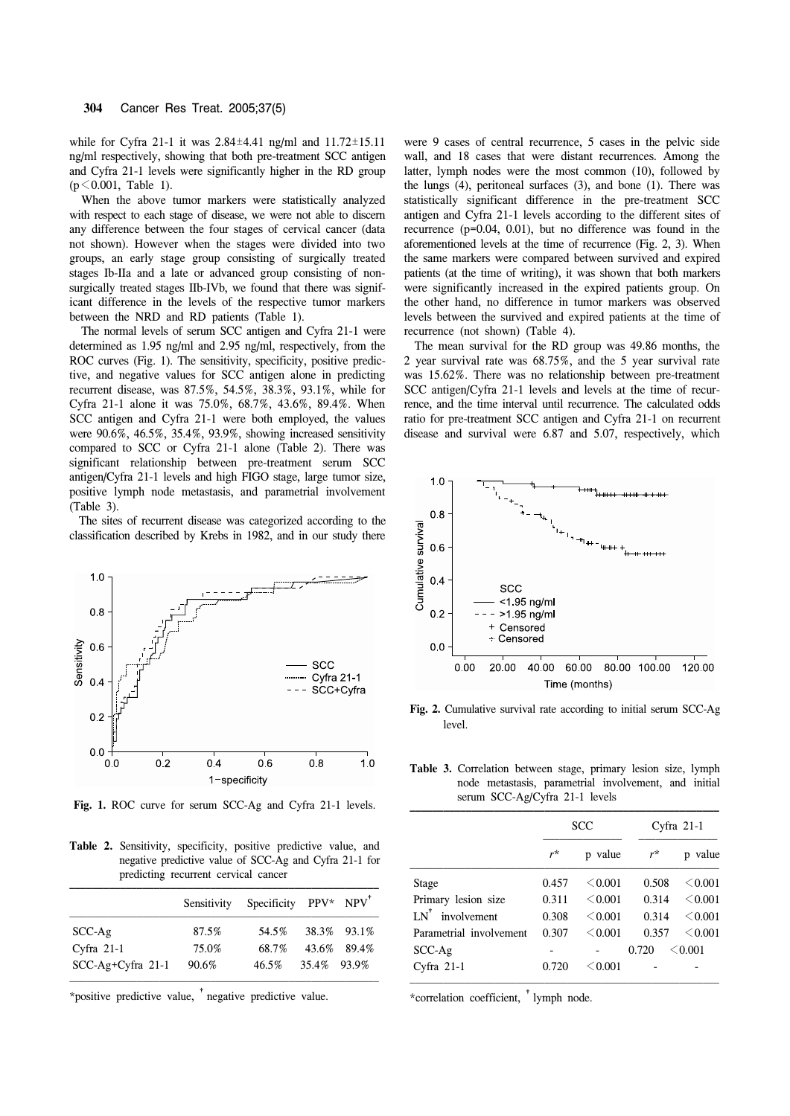while for Cyfra 21-1 it was 2.84±4.41 ng/ml and 11.72±15.11 ng/ml respectively, showing that both pre-treatment SCC antigen and Cyfra 21-1 levels were significantly higher in the RD group  $(p \le 0.001,$  Table 1).

 When the above tumor markers were statistically analyzed with respect to each stage of disease, we were not able to discern any difference between the four stages of cervical cancer (data not shown). However when the stages were divided into two groups, an early stage group consisting of surgically treated stages Ib-IIa and a late or advanced group consisting of nonsurgically treated stages IIb-IVb, we found that there was significant difference in the levels of the respective tumor markers between the NRD and RD patients (Table 1).

 The normal levels of serum SCC antigen and Cyfra 21-1 were determined as 1.95 ng/ml and 2.95 ng/ml, respectively, from the ROC curves (Fig. 1). The sensitivity, specificity, positive predictive, and negative values for SCC antigen alone in predicting recurrent disease, was 87.5%, 54.5%, 38.3%, 93.1%, while for Cyfra 21-1 alone it was 75.0%, 68.7%, 43.6%, 89.4%. When SCC antigen and Cyfra 21-1 were both employed, the values were 90.6%, 46.5%, 35.4%, 93.9%, showing increased sensitivity compared to SCC or Cyfra 21-1 alone (Table 2). There was significant relationship between pre-treatment serum SCC antigen/Cyfra 21-1 levels and high FIGO stage, large tumor size, positive lymph node metastasis, and parametrial involvement (Table 3).

 The sites of recurrent disease was categorized according to the classification described by Krebs in 1982, and in our study there



**Fig. 1.** ROC curve for serum SCC-Ag and Cyfra 21-1 levels.

Table 2. Sensitivity, specificity, positive predictive value, and negative predictive value of SCC-Ag and Cyfra 21-1 for predicting recurrent cervical cancer

|                     | Sensitivity | Specificity $PPV^*$ NPV <sup><math>^*</math></sup> |             |             |
|---------------------|-------------|----------------------------------------------------|-------------|-------------|
| $SCC-Ag$            | 87.5%       | 54.5%                                              |             | 38.3% 93.1% |
| Cyfra $21-1$        | 75.0%       | 68.7%                                              |             | 43.6% 89.4% |
| $SCC-Ag+Cyfra$ 21-1 | 90.6%       | 46.5%                                              | 35.4% 93.9% |             |

\*positive predictive value, †negative predictive value.

were 9 cases of central recurrence, 5 cases in the pelvic side wall, and 18 cases that were distant recurrences. Among the latter, lymph nodes were the most common (10), followed by the lungs (4), peritoneal surfaces (3), and bone (1). There was statistically significant difference in the pre-treatment SCC antigen and Cyfra 21-1 levels according to the different sites of recurrence (p=0.04, 0.01), but no difference was found in the aforementioned levels at the time of recurrence (Fig. 2, 3). When the same markers were compared between survived and expired patients (at the time of writing), it was shown that both markers were significantly increased in the expired patients group. On the other hand, no difference in tumor markers was observed levels between the survived and expired patients at the time of recurrence (not shown) (Table 4).

 The mean survival for the RD group was 49.86 months, the 2 year survival rate was 68.75%, and the 5 year survival rate was 15.62%. There was no relationship between pre-treatment SCC antigen/Cyfra 21-1 levels and levels at the time of recurrence, and the time interval until recurrence. The calculated odds ratio for pre-treatment SCC antigen and Cyfra 21-1 on recurrent disease and survival were 6.87 and 5.07, respectively, which



**Fig. 2.** Cumulative survival rate according to initial serum SCC-Ag level.

**Table 3.** Correlation between stage, primary lesion size, lymph node metastasis, parametrial involvement, and initial serum SCC-Ag/Cyfra 21-1 levels

|                               | SCC   |         | Cyfra $21-1$ |         |
|-------------------------------|-------|---------|--------------|---------|
|                               | $r^*$ | p value | $r^{\star}$  | p value |
| Stage                         | 0.457 | < 0.001 | 0.508        | < 0.001 |
| Primary lesion size           | 0.311 | < 0.001 | 0.314        | < 0.001 |
| $LN^{\dagger}$<br>involvement | 0.308 | < 0.001 | 0.314        | < 0.001 |
| Parametrial involvement       | 0.307 | < 0.001 | 0.357        | < 0.001 |
| $SCC-Ag$                      |       |         | 0.720        | < 0.001 |
| Cyfra $21-1$                  | 0.720 | < 0.001 |              |         |

\*correlation coefficient, †lymph node.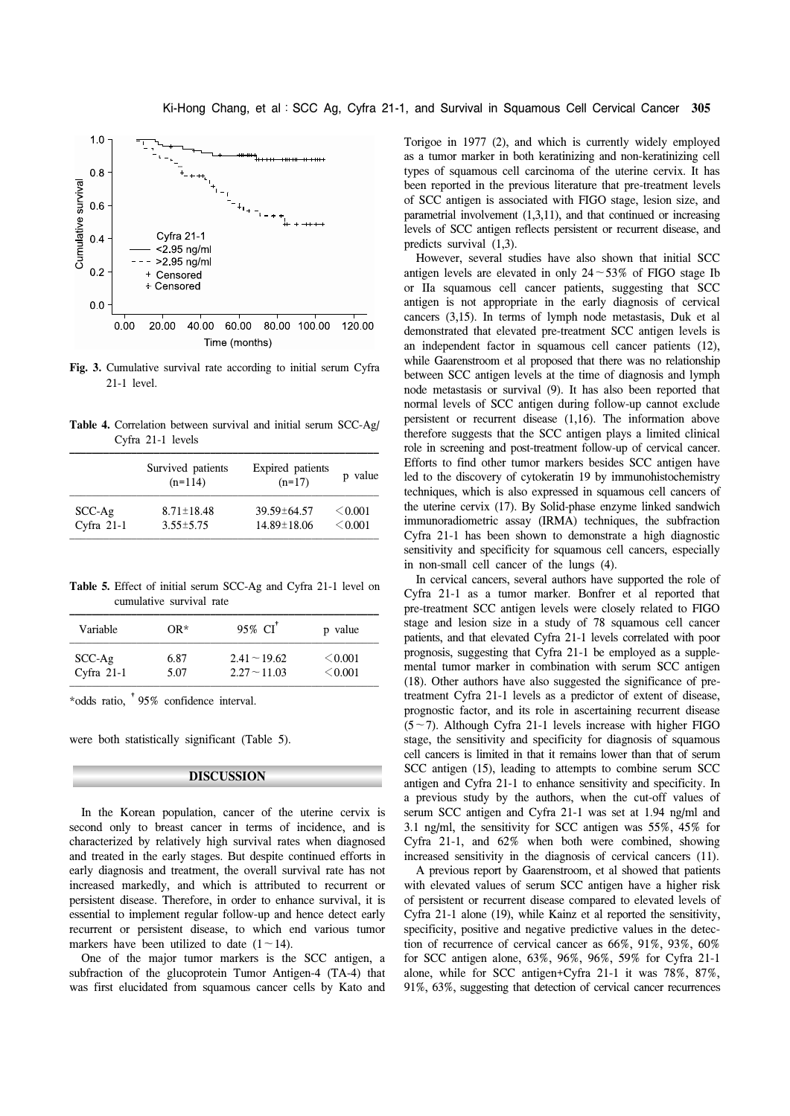

**Fig. 3.** Cumulative survival rate according to initial serum Cyfra 21-1 level.

**Table 4.** Correlation between survival and initial serum SCC-Ag/ Cyfra 21-1 levels

|              | Survived patients<br>$(n=114)$ | Expired patients<br>$(n=17)$ | p value |
|--------------|--------------------------------|------------------------------|---------|
| $SCC-Ag$     | $8.71 \pm 18.48$               | $39.59 \pm 64.57$            | < 0.001 |
| Cyfra $21-1$ | $3.55 \pm 5.75$                | 14.89±18.06                  | < 0.001 |

**Table 5.** Effect of initial serum SCC-Ag and Cyfra 21-1 level on cumulative survival rate

| Variable     | $OR*$ | 95% CI            | p value |
|--------------|-------|-------------------|---------|
| $SCC-Ag$     | 6.87  | $2.41 \sim 19.62$ | < 0.001 |
| Cyfra $21-1$ | 5.07  | $2.27 - 11.03$    | < 0.001 |

\*odds ratio, †95% confidence interval.

were both statistically significant (Table 5).

#### **DISCUSSION**

 In the Korean population, cancer of the uterine cervix is second only to breast cancer in terms of incidence, and is characterized by relatively high survival rates when diagnosed and treated in the early stages. But despite continued efforts in early diagnosis and treatment, the overall survival rate has not increased markedly, and which is attributed to recurrent or persistent disease. Therefore, in order to enhance survival, it is essential to implement regular follow-up and hence detect early recurrent or persistent disease, to which end various tumor markers have been utilized to date  $(1 - 14)$ .

 One of the major tumor markers is the SCC antigen, a subfraction of the glucoprotein Tumor Antigen-4 (TA-4) that was first elucidated from squamous cancer cells by Kato and Torigoe in 1977 (2), and which is currently widely employed as a tumor marker in both keratinizing and non-keratinizing cell types of squamous cell carcinoma of the uterine cervix. It has been reported in the previous literature that pre-treatment levels of SCC antigen is associated with FIGO stage, lesion size, and parametrial involvement (1,3,11), and that continued or increasing levels of SCC antigen reflects persistent or recurrent disease, and predicts survival (1,3).

 However, several studies have also shown that initial SCC antigen levels are elevated in only  $24 \sim 53\%$  of FIGO stage Ib or IIa squamous cell cancer patients, suggesting that SCC antigen is not appropriate in the early diagnosis of cervical cancers (3,15). In terms of lymph node metastasis, Duk et al demonstrated that elevated pre-treatment SCC antigen levels is an independent factor in squamous cell cancer patients (12), while Gaarenstroom et al proposed that there was no relationship between SCC antigen levels at the time of diagnosis and lymph node metastasis or survival (9). It has also been reported that normal levels of SCC antigen during follow-up cannot exclude persistent or recurrent disease (1,16). The information above therefore suggests that the SCC antigen plays a limited clinical role in screening and post-treatment follow-up of cervical cancer. Efforts to find other tumor markers besides SCC antigen have led to the discovery of cytokeratin 19 by immunohistochemistry techniques, which is also expressed in squamous cell cancers of the uterine cervix (17). By Solid-phase enzyme linked sandwich immunoradiometric assay (IRMA) techniques, the subfraction Cyfra 21-1 has been shown to demonstrate a high diagnostic sensitivity and specificity for squamous cell cancers, especially in non-small cell cancer of the lungs (4).

 In cervical cancers, several authors have supported the role of Cyfra 21-1 as a tumor marker. Bonfrer et al reported that pre-treatment SCC antigen levels were closely related to FIGO stage and lesion size in a study of 78 squamous cell cancer patients, and that elevated Cyfra 21-1 levels correlated with poor prognosis, suggesting that Cyfra 21-1 be employed as a supplemental tumor marker in combination with serum SCC antigen (18). Other authors have also suggested the significance of pretreatment Cyfra 21-1 levels as a predictor of extent of disease, prognostic factor, and its role in ascertaining recurrent disease  $(5~9)$ . Although Cyfra 21-1 levels increase with higher FIGO stage, the sensitivity and specificity for diagnosis of squamous cell cancers is limited in that it remains lower than that of serum SCC antigen (15), leading to attempts to combine serum SCC antigen and Cyfra 21-1 to enhance sensitivity and specificity. In a previous study by the authors, when the cut-off values of serum SCC antigen and Cyfra 21-1 was set at 1.94 ng/ml and 3.1 ng/ml, the sensitivity for SCC antigen was 55%, 45% for Cyfra 21-1, and 62% when both were combined, showing increased sensitivity in the diagnosis of cervical cancers (11).

 A previous report by Gaarenstroom, et al showed that patients with elevated values of serum SCC antigen have a higher risk of persistent or recurrent disease compared to elevated levels of Cyfra 21-1 alone (19), while Kainz et al reported the sensitivity, specificity, positive and negative predictive values in the detection of recurrence of cervical cancer as 66%, 91%, 93%, 60% for SCC antigen alone, 63%, 96%, 96%, 59% for Cyfra 21-1 alone, while for SCC antigen+Cyfra 21-1 it was 78%, 87%, 91%, 63%, suggesting that detection of cervical cancer recurrences